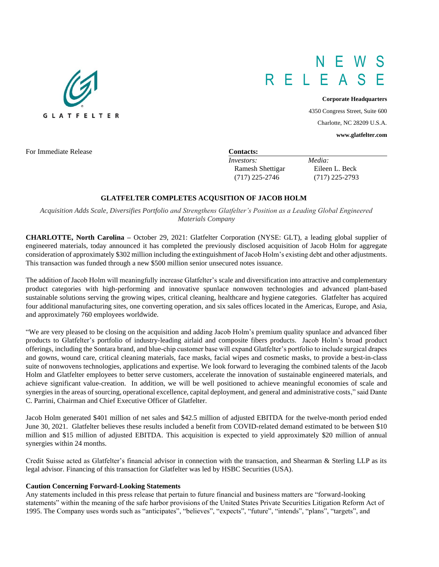# $N_{\pm}$ R E L E A

*Investors: Media:*

Ramesh Shettigar Eileen L. Beck (717) 225-2746 (717) 225-2793

#### **Corporate Headquarters**

4350 Congress Street, Suite 600 Charlotte, NC 28209 U.S.A.

**www.glatfelter.com**

For Immediate Release **Contacts:** 

# **GLATFELTER COMPLETES ACQUSITION OF JACOB HOLM**

*Acquisition Adds Scale, Diversifies Portfolio and Strengthens Glatfelter's Position as a Leading Global Engineered Materials Company* 

**CHARLOTTE, North Carolina –** October 29, 2021: Glatfelter Corporation (NYSE: GLT), a leading global supplier of engineered materials, today announced it has completed the previously disclosed acquisition of Jacob Holm for aggregate consideration of approximately \$302 million including the extinguishment of Jacob Holm's existing debt and other adjustments. This transaction was funded through a new \$500 million senior unsecured notes issuance.

The addition of Jacob Holm will meaningfully increase Glatfelter's scale and diversification into attractive and complementary product categories with high-performing and innovative spunlace nonwoven technologies and advanced plant-based sustainable solutions serving the growing wipes, critical cleaning, healthcare and hygiene categories. Glatfelter has acquired four additional manufacturing sites, one converting operation, and six sales offices located in the Americas, Europe, and Asia, and approximately 760 employees worldwide.

"We are very pleased to be closing on the acquisition and adding Jacob Holm's premium quality spunlace and advanced fiber products to Glatfelter's portfolio of industry-leading airlaid and composite fibers products. Jacob Holm's broad product offerings, including the Sontara brand, and blue-chip customer base will expand Glatfelter's portfolio to include surgical drapes and gowns, wound care, critical cleaning materials, face masks, facial wipes and cosmetic masks, to provide a best-in-class suite of nonwovens technologies, applications and expertise. We look forward to leveraging the combined talents of the Jacob Holm and Glatfelter employees to better serve customers, accelerate the innovation of sustainable engineered materials, and achieve significant value-creation. In addition, we will be well positioned to achieve meaningful economies of scale and synergies in the areas of sourcing, operational excellence, capital deployment, and general and administrative costs," said Dante C. Parrini, Chairman and Chief Executive Officer of Glatfelter.

Jacob Holm generated \$401 million of net sales and \$42.5 million of adjusted EBITDA for the twelve-month period ended June 30, 2021. Glatfelter believes these results included a benefit from COVID-related demand estimated to be between \$10 million and \$15 million of adjusted EBITDA. This acquisition is expected to yield approximately \$20 million of annual synergies within 24 months.

Credit Suisse acted as Glatfelter's financial advisor in connection with the transaction, and Shearman & Sterling LLP as its legal advisor. Financing of this transaction for Glatfelter was led by HSBC Securities (USA).

## **Caution Concerning Forward-Looking Statements**

Any statements included in this press release that pertain to future financial and business matters are "forward-looking statements" within the meaning of the safe harbor provisions of the United States Private Securities Litigation Reform Act of 1995. The Company uses words such as "anticipates", "believes", "expects", "future", "intends", "plans", "targets", and